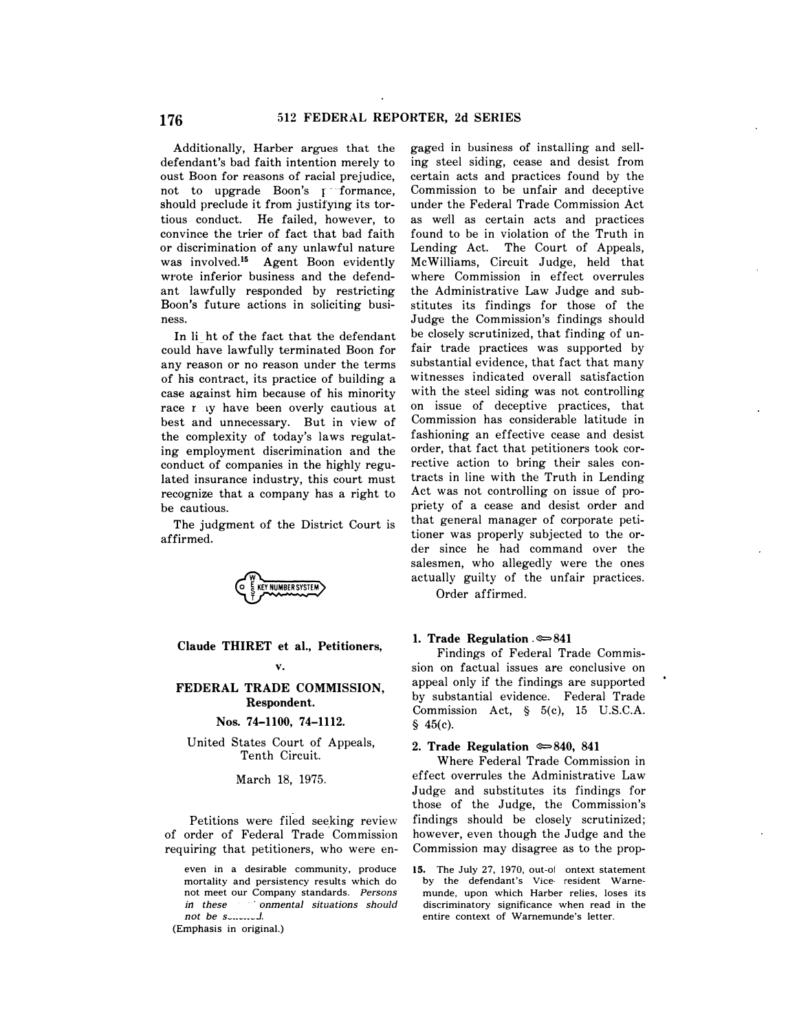defendant's bad faith intention merely to ing steel siding, cease and desist from oust Boon for reasons of racial prejudice, certain acts and practices found by the not to upgrade Boon's  $\mathfrak{p}$  formance, Commission to be unfair and deceptive should preclude it from justifying its tor- under the Federal Trade Commission Act tious conduct. He failed, however, to as well as certain acts and practices convince the trier of fact that bad faith found to be in violation of the Truth in or discrimination of any unlawful nature Lending Act. The Court of Appeals, was [involved.](https://involved.15)15 Agent Boon evidently McWilliams, Circuit Judge, held that wrote inferior business and the defend- where Commission in effect overrules ant lawfully responded by restricting the Administrative Law Judge and sub-Boon's future actions in soliciting busi- stitutes its findings for those of the ness. Judge the Commission's findings should

could have lawfully terminated Boon for fair trade practices was supported by any reason or no reason under the terms substantial evidence, that fact that many of his contract, its practice of building a witnesses indicated overall satisfaction case against him because of his minority with the steel siding was not controlling race may have been overly cautious at on issue of deceptive practices, that best and unnecessary. But in view of Commission has considerable latitude in the complexity of today's laws regulat- fashioning an effective cease and desist ing employment discrimination and the order, that fact that petitioners took corconduct of companies in the highly regu- rective action to bring their sales conlated insurance industry, this court must tracts in line with the Truth in Lending recognize that a company has a right to Act was not controlling on issue of probe cautious. **priety of a cease and desist order and** 



Claude THIRET et al., Petitioners,  $\frac{1. \text{ Trade Regulation}}{\text{Findings of Federal Trade Commission}}$ 

# Nos. 74-1100, 74-1112.  $\frac{1}{2}$   $\frac{1}{2}$   $\frac{45(c)}{2}$ .

United States Court of Appeals, 2. Trade Regulation  $\approx 840$ , 841<br>Tenth Circuit. Where Federal Trade Commission in

of order of Federal Trade Commission however, even though the Judge and the

*not be solicited.* entire context of Warnemunde's letter.

(Emphasis in original.)

Additionally, Harber argues that the gaged in business of installing and sell-In light of the fact that the defendant be closely scrutinized, that finding of un-The judgment of the District Court is that general manager of corporate petitioner was properly subjected to the or-<br>affirmed. der since he had command over the salesmen, who allegedly were the ones actually guilty of the unfair practices. Order affirmed.

v. sion on factual issues are conclusive on FEDERAL TRADE COMMISSION, appeal only if the findings are supported<br>Respondent. Bespondent. Commission Act, § 5(c), 15 U.S.C.A.

March 18, 1975. effect overrules the Administrative Law Judge and substitutes its findings for those of the Judge, the Commission's Petitions were filed seeking review findings should be closely scrutinized; requiring that petitioners, who were en- Commission may disagree as to the prop-

even in a desirable community, produce  $15$ . The July 27, 1970, out-of-context statement mortality and persistency results which do by the defendant's Vice- resident Warne-<br>not meet our Company standards. Persons munde, upon which Harber relies, loses its **Company standards.** *Persons* **munde, upon which Harber relies, loses its** compared in the comparations should discriminatory significance when read in the *in these conmental situations should* discriminatory significance when read in the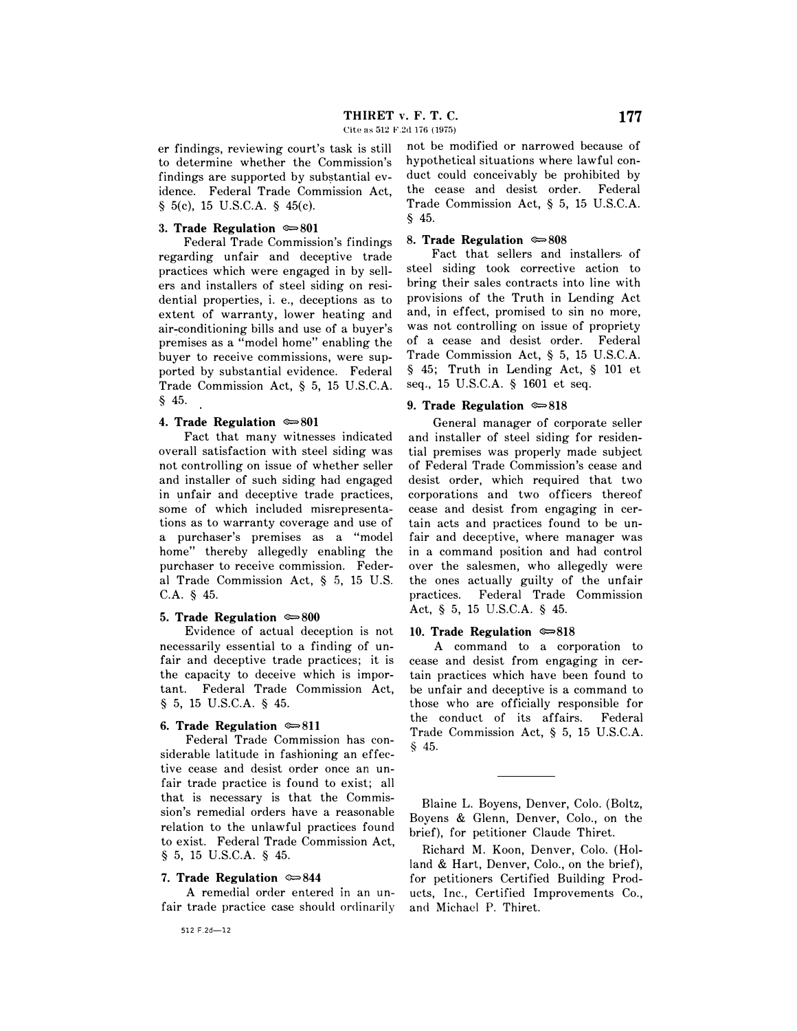Cite as 512 F.2d 176 (1975)

er findings, reviewing court's task is still to determine whether the Commission's findings are supported by substantial evidence. Federal Trade Commission Act, § 5(c), 15 U.S.C.A. § 45(c).

### **3. Trade Regulation**  $\approx 801$

Federal Trade Commission's findings regarding unfair and deceptive trade practices which were engaged in by sellers and installers of steel siding on residential properties, i. e., deceptions as to extent of warranty, lower heating and air-conditioning bills and use of a buyer's premises as a "model home" enabling the buyer to receive commissions, were supported by substantial evidence. Federal Trade Commission Act, § 5, 15 U.S.C.A. § 45.

### **4. Trade Regulation**  $\approx 801$

Fact that many witnesses indicated overall satisfaction with steel siding was not controlling on issue of whether seller and installer of such siding had engaged in unfair and deceptive trade practices, some of which included misrepresentations as to warranty coverage and use of a purchaser's premises as a "model home" thereby allegedly enabling the purchaser to receive commission. Federal Trade Commission Act, § 5, 15 U.S. C.A. § 45.

### **5. Trade Regulation**  $\approx 800$

Evidence of actual deception is not necessarily essential to a finding of unfair and deceptive trade practices; it is the capacity to deceive which is important. Federal Trade Commission Act, § 5, 15 U.S.C.A. § 45.

### **6. Trade Regulation**  $\approx 811$

Federal Trade Commission has considerable latitude in fashioning an effective cease and desist order once an unfair trade practice is found to exist; all that is necessary is that the Commission's remedial orders have a reasonable relation to the unlawful practices found to exist. Federal Trade Commission Act, § 5, 15 U.S.C.A. § 45.

### **7. Trade Regulation**  $\approx 844$

A remedial order entered in an unfair trade practice case should ordinarily

512 F.2d-12

§ 45. not be modified or narrowed because of hypothetical situations where lawful conduct could conceivably be prohibited by the cease and desist order. Federal Trade Commission Act, § 5, 15 U.S.C.A.

### **8. Trade Regulation**  $\approx 808$

Fact that sellers and installers of steel siding took corrective action to bring their sales contracts into line with provisions of the Truth in Lending Act and, in effect, promised to sin no more, was not controlling on issue of propriety of a cease and desist order. Federal Trade Commission Act, § 5, 15 U.S.C.A. § 45; Truth in Lending Act, § 101 et seq., 15 U.S.C.A. § 1601 et seq.

## **9. Trade Regulation**  $\approx 818$

General manager of corporate seller and installer of steel siding for residential premises was properly made subject of Federal Trade Commission's cease and desist order, which required that two corporations and two officers thereof cease and desist from engaging in certain acts and practices found to be unfair and deceptive, where manager was in a command position and had control over the salesmen, who allegedly were the ones actually guilty of the unfair practices. Federal Trade Commission Act, § 5, 15 U.S.C.A. § 45.

### 10. Trade Regulation  $\approx 818$

A command to a corporation to cease and desist from engaging in certain practices which have been found to be unfair and deceptive is a command to those who are officially responsible for the conduct of its affairs. Federal Trade Commission Act, § 5, 15 U.S.C.A. § 45.

Blaine L. Boyens, Denver, Colo. (Boltz, Boyens & Glenn, Denver, Colo., on the brief), for petitioner Claude Thiret.

Richard M. Koon, Denver, Colo. (Holland & Hart, Denver, Colo., on the brief), for petitioners Certified Building Products, Inc., Certified Improvements Co., and Michael P. Thiret.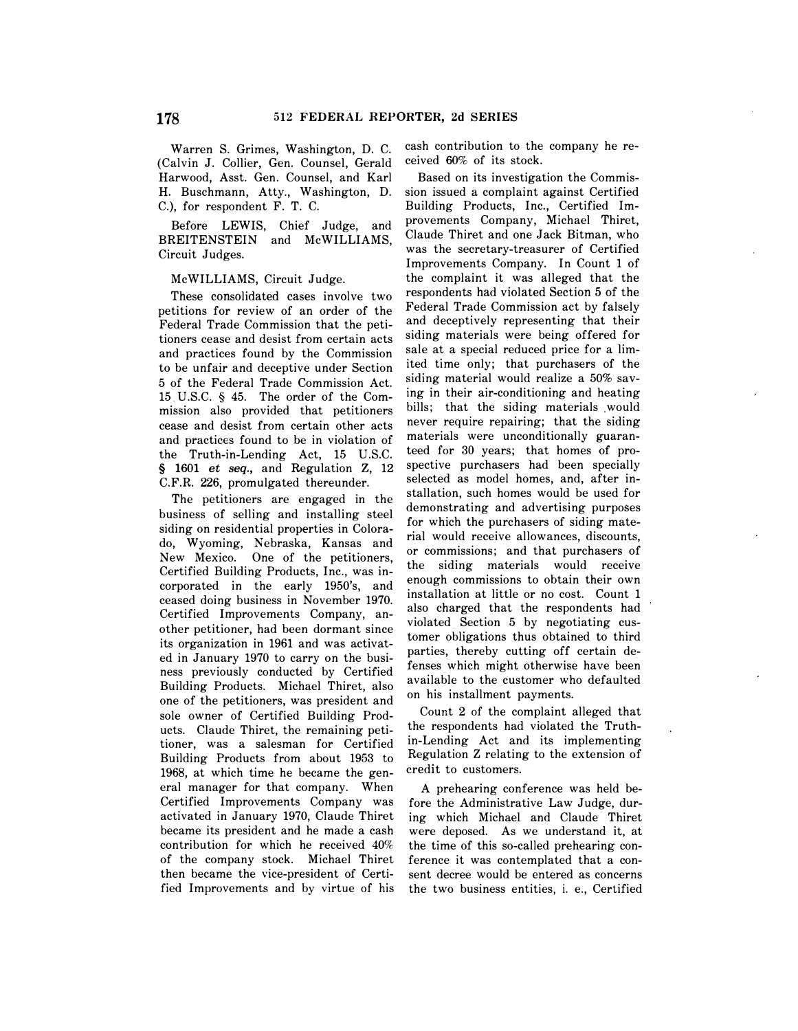Warren S. Grimes, Washington, D. C. (Calvin J. Collier, Gen. Counsel, Gerald Harwood, Asst. Gen. Counsel, and Karl H. Buschmann, Atty., Washington, D. C.), for respondent F. T. C.

Before LEWIS, Chief Judge, and BREITENSTEIN and McWILLIAMS, Circuit Judges.

### McWILLIAMS, Circuit Judge.

These consolidated cases involve two petitions for review of an order of the Federal Trade Commission that the petitioners cease and desist from certain acts and practices found by the Commission to be unfair and deceptive under Section 5 of the Federal Trade Commission Act. 15. U .S.C. § 45. The order of the Commission also provided that petitioners cease and desist from certain other acts and practices found to be in violation of the Truth-in-Lending Act, 15 U.S.C. § 1601 *et seq.,* and Regulation Z, 12 C.F.R. 226, promulgated thereunder.

The petitioners are engaged in the business of selling and installing steel siding on residential properties in Colorado, Wyoming, Nebraska, Kansas and New Mexico. One of the petitioners, Certified Building Products, Inc., was incorporated in the early 1950's, and ceased doing business in November 1970. Certified Improvements Company, another petitioner, had been dormant since its organization in 1961 and was activated in January 1970 to carry on the business previously conducted by Certified Building Products. Michael Thiret, also one of the petitioners, was president and sole owner of Certified Building Products. Claude Thiret, the remaining petitioner, was a salesman for Certified Building Products from about 1953 to 1968, at which time he became the general manager for that company. When Certified Improvements Company was activated in January 1970, Claude Thiret became its president and he made a cash contribution for which he received 40% of the company stock. Michael Thiret then became the vice-president of Certified Improvements and by virtue of his

cash contribution to the company he received 60% of its stock.

Based on its investigation the Commission issued a complaint against Certified Building Products, Inc., Certified Improvements Company, Michael Thiret, Claude Thiret and one Jack Bitman, who was the secretary-treasurer of Certified Improvements Company. In Count 1 of the complaint it was alleged that the respondents had violated Section 5 of the Federal Trade Commission act by falsely and deceptively representing that their siding materials were being offered for sale at a special reduced price for a limited time only; that purchasers of the siding material would realize a 50% saving in their air-conditioning and heating bills; that the siding materials would never require repairing; that the siding materials were unconditionally guaranteed for 30 years; that homes of prospective purchasers had been specially selected as model homes, and, after installation, such homes would be used for demonstrating and advertising purposes for which the purchasers of siding material would receive allowances, discounts, or commissions; and that purchasers of the siding materials would receive enough commissions to obtain their own installation at little or no cost. Count 1 also charged that the respondents had violated Section 5 by negotiating customer obligations thus obtained to third parties, thereby cutting off certain defenses which might otherwise have been available to the customer who defaulted on his installment payments.

Count 2 of the complaint alleged that the respondents had violated the Truthin-Lending Act and its implementing Regulation Z relating to the extension of credit to customers.

A prehearing conference was held before the Administrative Law Judge, during which Michael and Claude Thiret were deposed. As we understand it, at the time of this so-called prehearing conference it was contemplated that a consent decree would be entered as concerns the two business entities, i. e., Certified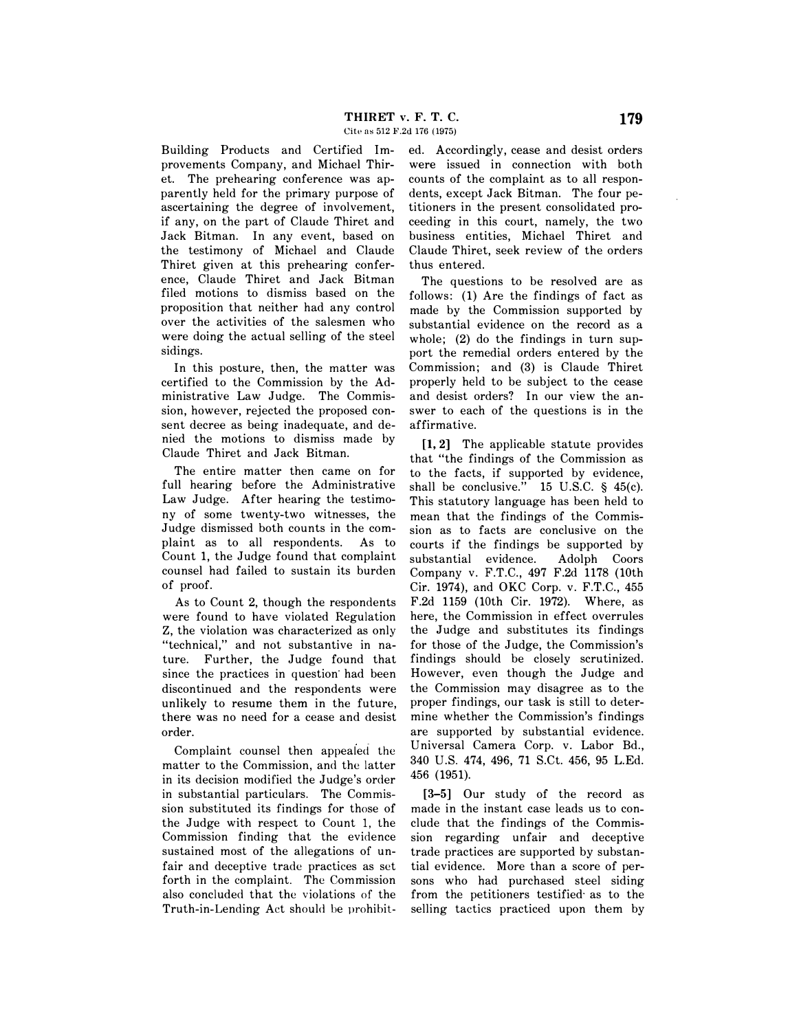Cite as 512 F.2d 176 (1975)

Building Products and Certified Improvements Company, and Michael Thiret. The prehearing conference was apparently held for the primary purpose of ascertaining the degree of involvement, if any, on the part of Claude Thiret and Jack Bitman. In any event, based on the testimony of Michael and Claude Thiret given at this prehearing conference, Claude Thiret and Jack Bitman filed motions to dismiss based on the proposition that neither had any control over the activities of the salesmen who were doing the actual selling of the steel sidings.

In this posture, then, the matter was certified to the Commission by the Administrative Law Judge. The Commission, however, rejected the proposed consent decree as being inadequate, and denied the motions to dismiss made by Claude Thiret and Jack Bitman.

The entire matter then came on for full hearing before the Administrative Law Judge. After hearing the testimony of some twenty-two witnesses, the Judge dismissed both counts in the complaint as to all respondents. As to Count 1, the Judge found that complaint counsel had failed to sustain its burden of proof.

As to Count 2, though the respondents were found to have violated Regulation Z, the violation was characterized as only "technical," and not substantive in nature. Further, the Judge found that since the practices in question had been discontinued and the respondents were unlikely to resume them in the future, there was no need for a cease and desist order.

Complaint counsel then appealed the matter to the Commission, and the latter in its decision modified the Judge's order in substantial particulars. The Commission substituted its findings for those of the Judge with respect to Count 1, the Commission finding that the evidence sustained most of the allegations of unfair and deceptive trade practices as set forth in the complaint. The Commission also concluded that the violations of the Truth-in-Lending Act should be prohibited. Accordingly, cease and desist orders were issued in connection with both counts of the complaint as to all respondents, except Jack Bitman. The four petitioners in the present consolidated proceeding in this court, namely, the two business entities, Michael Thiret and Claude Thiret, seek review of the orders thus entered.

The questions to be resolved are as follows: (1) Are the findings of fact as made by the Commission supported by substantial evidence on the record as a whole; (2) do the findings in turn support the remedial orders entered by the Commission; and (3) is Claude Thiret properly held to be subject to the cease and desist orders? In our view the answer to each of the questions is in the affirmative.

[l, 2] The applicable statute provides that "the findings of the Commission as to the facts, if supported by evidence, shall be conclusive." 15 U.S.C. § 45(c). This statutory language has been held to mean that the findings of the Commission as to facts are conclusive on the courts if the findings be supported by substantial evidence. Adolph Coors Company v. F.T.C., 497 F.2d 1178 (10th Cir. 1974), and OKC Corp. v. F.T.C., 455 F.2d 1159 (10th Cir. 1972). Where, as here, the Commission in effect overrules the Judge and substitutes its findings for those of the Judge, the Commission's findings should be closely scrutinized. However, even though the Judge and the Commission may disagree as to the proper findings, our task is still to determine whether the Commission's findings are supported by substantial evidence. Universal Camera Corp. v. Labor Bd., 340 U.S. 474, 496, 71 S.Ct. 456, 95 L.Ed. 456 (1951).

[3-5] Our study of the record as made in the instant case leads us to conclude that the findings of the Commission regarding unfair and deceptive trade practices are supported by substantial evidence. More than a score of persons who had purchased steel siding from the petitioners testified as to the selling tactics practiced upon them by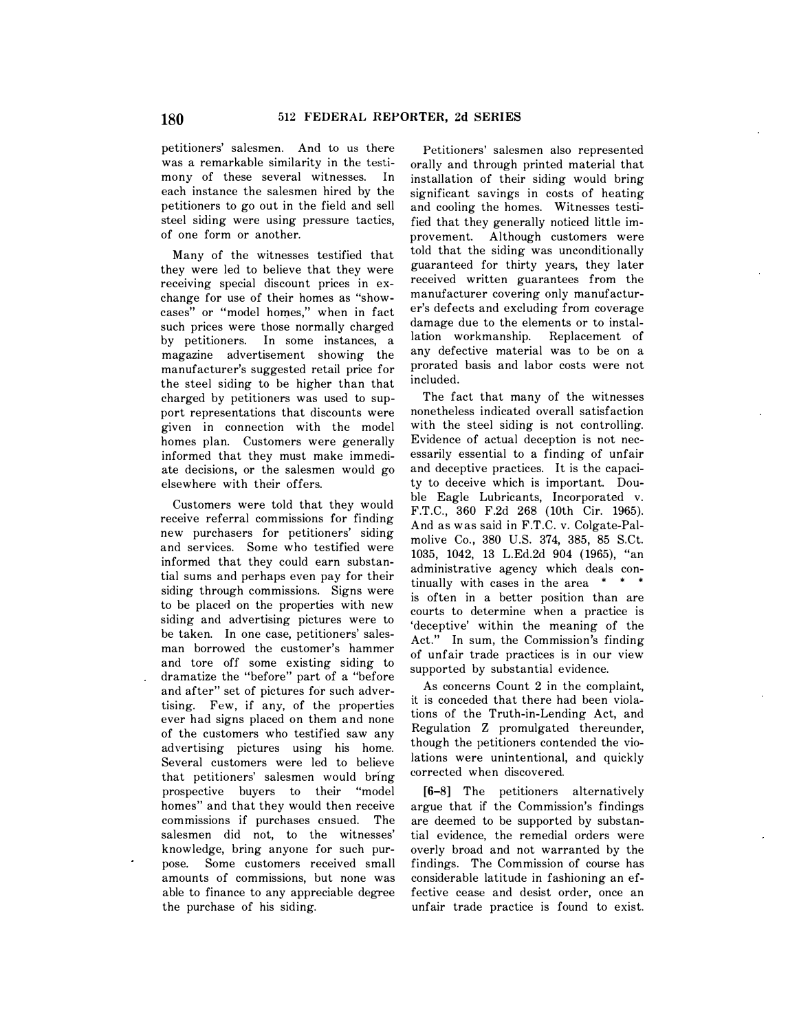petitioners' salesmen. And to us there was a remarkable similarity in the testimony of these several witnesses. In each instance the salesmen hired by the petitioners to go out in the field and sell steel siding were using pressure tactics, of one form or another.

Many of the witnesses testified that they were led to believe that they were receiving special discount prices in exchange for use of their homes as "showcases" or "model homes," when in fact such prices were those normally charged by petitioners. In some instances, a magazine advertisement showing the manufacturer's suggested retail price for the steel siding to be higher than that charged by petitioners was used to support representations that discounts were given in connection with the model homes plan. Customers were generally informed that they must make immediate decisions, or the salesmen would go elsewhere with their offers.

Customers were told that they would receive referral commissions for finding new purchasers for petitioners' siding and services. Some who testified were informed that they could earn substantial sums and perhaps even pay for their siding through commissions. Signs were to be placed on the properties with new siding and advertising pictures were to be taken. In one case, petitioners' salesman borrowed the customer's hammer and tore off some existing siding to dramatize the "before" part of a "before and after" set of pictures for such advertising. Few, if any, of the properties ever had signs placed on them and none of the customers who testified saw any advertising pictures using his home. Several customers were led to believe that petitioners' salesmen would bring prospective buyers to their "model homes" and that they would then receive commissions if purchases ensued. The salesmen did not, to the witnesses' knowledge, bring anyone for such purpose. Some customers received small amounts of commissions, but none was able to finance to any appreciable degree the purchase of his siding.

Petitioners' salesmen also represented orally and through printed material that installation of their siding would bring significant savings in costs of heating and cooling the homes. Witnesses testified that they generally noticed little improvement. Although customers were told that the siding was unconditionally guaranteed for thirty years, they later received written guarantees from the manufacturer covering only manufacturer's defects and excluding from coverage damage due to the elements or to installation workmanship. Replacement of any defective material was to be on a prorated basis and labor costs were not included.

The fact that many of the witnesses nonetheless indicated overall satisfaction with the steel siding is not controlling. Evidence of actual deception is not necessarily essential to a finding of unfair and deceptive practices. It is the capacity to deceive which is important. Double Eagle Lubricants, Incorporated v. F.T.C. , 360 F.2d 268 (10th Cir. 1965). And as was said in F.T.C. v. Colgate-Palmolive Co., 380 U.S. 374, 385, 85 S.Ct. 1035, 1042, 13 L.Ed.2d 904 (1965), "an administrative agency which deals continually with cases in the area  $* * * *$ is often in a better position than are courts to determine when a practice is 'deceptive' within the meaning of the Act." In sum, the Commission's finding of unfair trade practices is in our view supported by substantial evidence.

As concerns Count 2 in the complaint, it is conceded that there had been violations of the Truth-in-Lending Act, and Regulation Z promulgated thereunder, though the petitioners contended the violations were unintentional, and quickly corrected when discovered.

[6-8] The petitioners alternatively argue that if the Commission's findings are deemed to be supported by substantial evidence, the remedial orders were overly broad and not warranted by the findings. The Commission of course has considerable latitude in fashioning an effective cease and desist order, once an unfair trade practice is found to exist.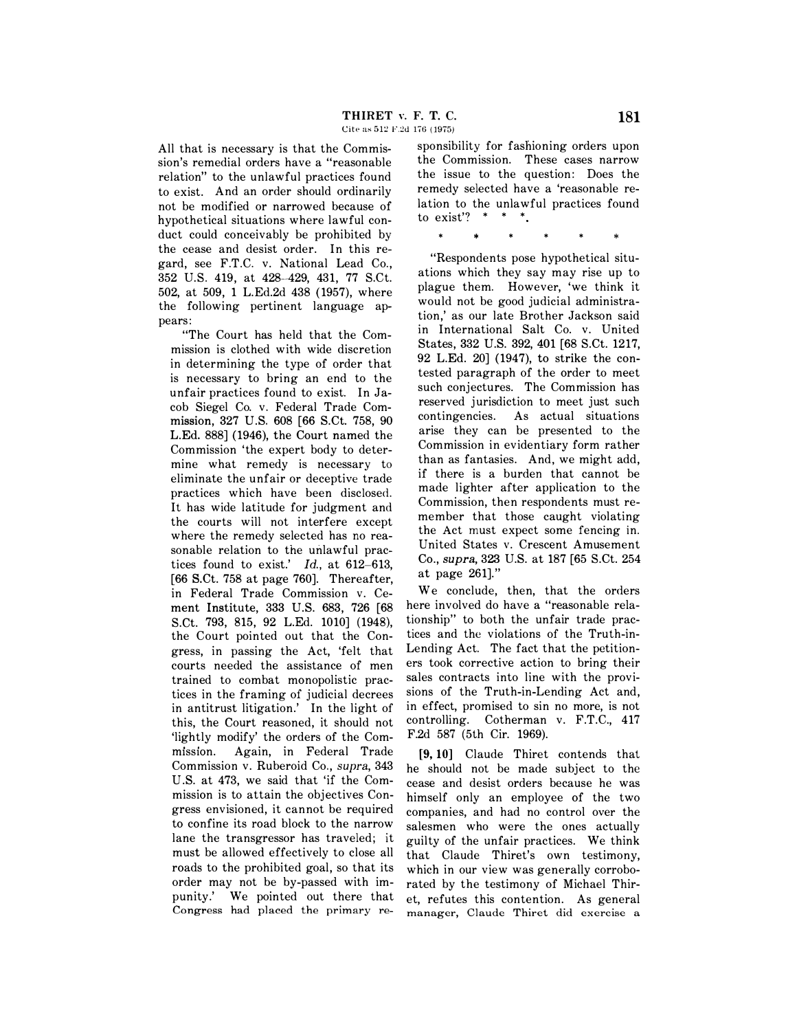All that is necessary is that the Commission's remedial orders have a "reasonable relation" to the unlawful practices found to exist. And an order should ordinarily not be modified or narrowed because of hypothetical situations where lawful conduct could conceivably be prohibited by the cease and desist order. In this regard, see F.T.C. v. National Lead Co. , 352 U.S. 419, at 428-429, 431, 77 S.Ct. 502, at 509, 1 L.Ed.2d 438 (1957), where the following pertinent language appears:

"The Court has held that the Commission is clothed with wide discretion in determining the type of order that is necessary to bring an end to the unfair practices found to exist. In Jacob Siegel Co. v. Federal Trade Commission, 327 U.S. 608 [66 S.Ct. 758, 90 L.Ed. 888] (1946), the Court named the Commission 'the expert body to determine what remedy is necessary to eliminate the unfair or deceptive trade practices which have been disclosed. It has wide latitude for judgment and the courts will not interfere except where the remedy selected has no reasonable relation to the unlawful practices found to exist.' *Id.*, at 612-613, [66 S.Ct. 758 at page 760]. Thereafter, in Federal Trade Commission v. Cement Institute, 333 U.S. 683, 726 [68 S.Ct. 793, 815, 92 L.Ed. 1010] (1948), the Court pointed out that the Congress, in passing the Act, 'felt that courts needed the assistance of men trained to combat monopolistic practices in the framing of judicial decrees in antitrust litigation.' In the light of this, the Court reasoned, it should not 'lightly modify' the orders of the Commission. Again, in Federal Trade Commission v. Ruberoid Co., *supra,* 343 U.S. at 473, we said that 'if the Commission is to attain the objectives Congress envisioned, it cannot be required to confine its road block to the narrow lane the transgressor has traveled; it must be allowed effectively to close all roads to the prohibited goal, so that its order may not be by-passed with impunity.' We pointed out there that Congress had placed the primary responsibility for fashioning orders upon the Commission. These cases narrow the issue to the question: Does the remedy selected have a 'reasonable relation to the unlawful practices found to exist?  $* * * *$ 

\* \* \* \*

"Respondents pose hypothetical situations which they say may rise up to plague them. However, 'we think it would not be good judicial administration,' as our late Brother Jackson said in International Salt Co. v. United States, 332 U.S. 392, 401 [68 S.Ct. 1217, 92 L.Ed. 20] (1947), to strike the contested paragraph of the order to meet such conjectures. The Commission has reserved jurisdiction to meet just such contingencies. As actual situations arise they can be presented to the Commission in evidentiary form rather than as fantasies. And, we might add, if there is a burden that cannot be made lighter after application to the Commission, then respondents must remember that those caught violating the Act must expect some fencing in. United States v. Crescent Amusement Co., *supra,* 323 U.S. at 187 [65 S.Ct. 254 at page 261].''

We conclude, then, that the orders here involved do have a "reasonable relationship" to both the unfair trade practices and the violations of the Truth-in-Lending Act. The fact that the petitioners took corrective action to bring their sales contracts into line with the provisions of the Truth-in-Lending Act and, in effect, promised to sin no more, is not controlling. Cotherman v. F.T.C., 417 F.2d 587 (5th Cir. 1969).

[9, 10] Claude Thiret contends that he should not be made subject to the cease and desist orders because he was himself only an employee of the two companies, and had no control over the salesmen who were the ones actually guilty of the unfair practices. We think that Claude Thiret's own testimony, which in our view was generally corroborated by the testimony of Michael Thiret, refutes this contention. As general manager, Claude Thiret did exercise a

 $\mathbf{z}$